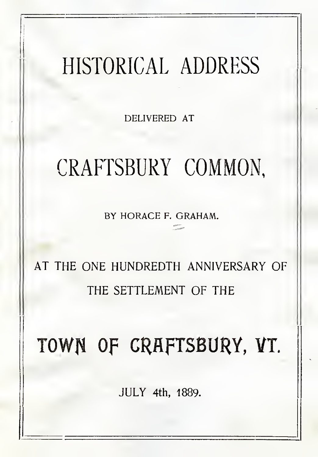# HISTORICAL ADDRESS

DELIVERED AT

# CRAFTSBURY COMMON,

BY HORACE F. GRAHAM.

#### AT THE ONE HUNDREDTH ANNIVERSARY OF THE SETTLEMENT OF THE

# Town OF CRAFTSBURY, VT.

JULY 4th, 1889.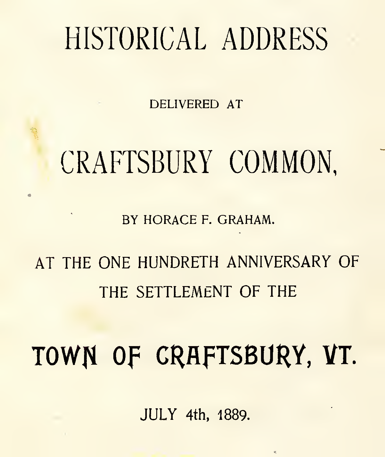#### HISTORICAL ADDRESS

DELIVERED AT

#### CRAFTSBURY COMMON,

BY HORACE F. GRAHAM.

AT THE ONE HUNDRETH ANNIVERSARY OF THE SETTLEMENT OF THE

TOWN Of CRAFTSBURY, VT.

JULY 4th, 1889.

 $\epsilon$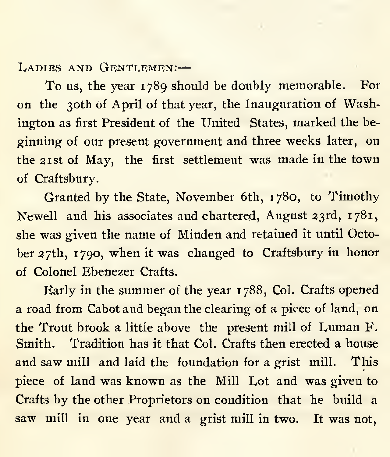LADIES AND GENTLEMEN:-

To us, the year 1789 should be doubly memorable. For on the 30th of April of that year, the Inauguration of Washington as first President of the United States, marked the be ginning of our present government and three weeks later, on the 21st of May, the first settlement was made in the town of Craftsbury.

Granted by the State, November 6th, 1780, to Timothy Newell and his associates and chartered, August 23rd, 1781, she was given the name of Minden and retained it until October 27th, 1790, when it was changed to Craftsbury in honor of Colonel Ebenezer Crafts.

Early in the summer of the year 1788, Col. Crafts opened a road from Cabot and began the clearing of a piece of land, on the Trout brook a little above the present mill of Luman F. Smith. Tradition has it that Col. Crafts then erected a house and saw mill and laid the foundation for a grist mill. This piece of land was known asthe Mill Lot and was given to Crafts by the other Proprietors on condition that he build a saw mill in one year and a grist mill in two. It was not,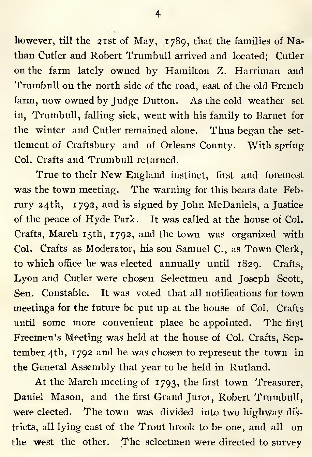however, till the 21st of May, 1789, that the families of Nathan Cutler and Robert Trumbull arrived and located; Cutler on the farm lately owned by Hamilton Z. Harriman and Trumbull on the north side of the road, east of the old French farm, now owned by Judge Dutton. As the cold weather set in, Trumbull, falling sick, went with his family to Barnet for the winter and Cutler remained alone. Thus began the set tlement of Craftsbury and of Orleans County. With spring Col. Crafts and Trumbull returned.

True to their New England instinct, first and foremost was the town meeting. The warning for this bears date Februry 24th, 1792, and is signed by John McDaniels, a Justice of the peace of Hyde Park. It was called at the house of Col. Crafts, March 15th, 1792, and the town was organized with Col. Crafts as Moderator, his son Samuel C., as Town Clerk, to which office he was elected annually until 1829. Crafts, Lyon and Cutler were chosen Selectmen and Joseph Scott, Sen. Constable. It was voted that all notifications for town meetings for the future be put up at the house of Col. Crafts until some more convenient place be appointed. The first Freemen's Meeting was held at the house of Col. Crafts, Sep tember 4th, 1792 and he was chosen to represent the town in the General Assembly that year to be held in Rutland.

At the March meeting of 1793, the first town Treasurer, Daniel Mason, and the first Grand Juror, Robert Trumbull, were elected. The town was divided into two highway districts, all lying east of the Trout brook to be one, and all on the west the other. The selectmen were directed to survey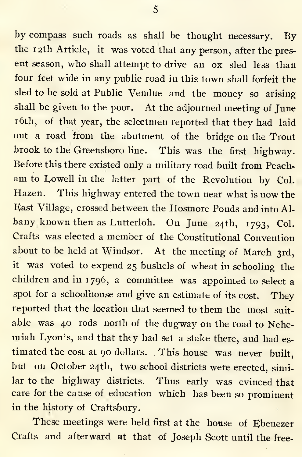by compass such roads as shall be thought necessary. By the 12th Article, it was voted that any person, after the present season, who shall attempt to drive an ox sled less than four feet wide in any public road in this town shall forfeit the sled to be sold at Public Vendue and the money so arising shall be given to the poor. At the adjourned meeting of June <sup>1</sup> 6th, of that year, the selectmen reported that they had laid out a road from the abutment of the bridge on the Trout brook to the Greensboro line. This was the first highway. Before this there existed only a military road built from Peach am to Lowell in the latter part of the Revolution by Col. Hazen. This highway entered the town near what is now the East Village, crossed between the Hosmore Ponds and into Al bany known then as Eutterloh. On June 24th, 1793, Col. Crafts was elected <sup>a</sup> member of the Constitutional Convention about to be held at Windsor. At the meeting of March 3rd, it was voted to expend <sup>25</sup> bushels of wheat in schooling the children and in 1796, a committee was appointed to select a spot for a schoolhouse and give an estimate of its cost. They reported that the location that seemed to them the most suit able was 40 rods north of the dugway on the road to Nehe miah Lyon's, and that they had set <sup>a</sup> stake there, and had es timated the cost at 90 dollars. . This house was never built, but on October 24th, two school districts were erected, similar to the highway districts. Thus early was evinced that care for the cause of education which has been so prominent in the history of Craftsbury.

These meetings were held first at the house of Ebenezer Crafts and afterward at that of Joseph Scott until the free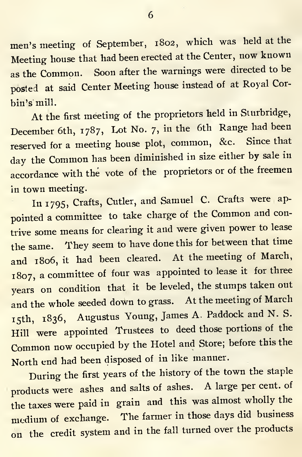men's meeting of September, 1802, which was held at the Meeting house that had been erected at the Center, now known as the Common. Soon after the warnings were directed to be posted at said Center Meeting house instead of at Royal Cor-

bin's mill.<br>At the first meeting of the proprietors held in Sturbridge, December 6th, 1787, Lot No. 7, in the 6th Range had been reserved for <sup>a</sup> meeting house plot, common, &c. Since that day the Common has been diminished in size either by sale in accordance with the vote of the proprietors or of the freemen in town meeting.

In 1795, Crafts, Cutler, and Samuel C. Crafts were ap pointed <sup>a</sup> committee to take charge of the Common and contrive some means for clearing it and were given power to lease the same. They seem to have done this for between that time and 1806, it had been cleared. At the meeting of March, 1807, <sup>a</sup> committee of four was appointed to lease it for three years on condition that it be leveled, the stumps taken out and the whole seeded down tograss. At the meeting of March 15th, 1836, Augustus Young, James A. Paddock and N. S. Hill' were appointed Trustees to deed those portions of the Common now occupied by the Hotel and Store; before this the North end had been disposed of in like manner.

During the first years of the history of the town the staple products were ashes and salts of ashes. A large per cent, of the taxes were paid in grain and this was almost wholly the medium of exchange. The farmer in those days did business on the credit system and in the fall turned over the products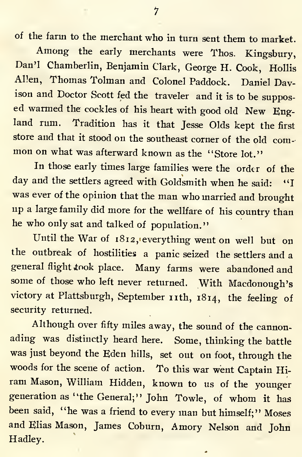of the farm to the merchant who in turn sent them to market.

Among the early merchants were Thos. Kingsbury, Dan'l Chamberlin, Benjamin Clark, George H. Cook, Hollis Allen, Thomas Tolman and Colonel Paddock. Daniel Davison and Doctor Scott fed the traveler and it is to be suppos ed warmed the cockles of his heart with good old New England rum. Tradition has it that Jesse Olds kept the first store and that it stood on the southeast corner of the old com- mon on what was afterward known as the "Store lot."

In those early times large families were the order of the day and the settlers agreed with Goldsmith when he said: "I was ever of the opinion that the man who married and brought up <sup>a</sup> large family did more for the wellfare of his country than he who only sat and talked of population."

Until the War of 1812, everything went on well but on the outbreak of hostilities <sup>a</sup> panic seized the settlers and <sup>a</sup> general flight took place. Many farms were abandoned and some of those who left never returned. With Macdonough's victory at Plattsburgh, September nth, 1814, the feeling of security returned.

Although over fifty miles away, the sound of the cannon ading was distinctly heard here. Some, thinking the battle was just beyond the Eden hills, set out on foot, through the woods for the scene of action. To this war went Captain Hi ram Mason, William Hidden, known to us of the younger generation as "the General;" John Towle, of whom it has been said, "he was a friend to every man but himself;" Moses and Elias Mason, James Coburn, Amory Nelson and John Hadley.

1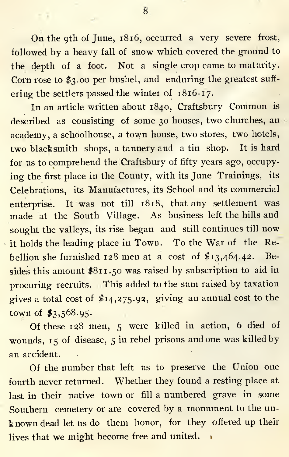On the 9th of June, 1816, occurred a very severe frost, followed by <sup>a</sup> heavy fall of snow which covered the ground to the depth of a foot. Not a single crop came tomaturity. Corn rose to \$3.00 per bushel, and enduring the greatest suff ering the settlers passed the winter of 1816-17.

In an article written about 1840, Craftsbury Common is described as consisting of some 30 houses, two churches, an academy, a schoolhouse, a town house, two stores, two hotels, two blacksmith shops, a tannery and a tin shop. It is hard for us to comprehend the Craftsbury of fifty years ago, occupying the first place in the County, with its June Trainings, its Celebrations, its Manufactures, its School and itscommercial enterprise. It was not till 1818, that any settlement was made at the South Village. As business left the hills and sought the valleys, its rise began and still continues till now it holds the leading place in Town. To the War of the Rebellion she furnished 128 men at <sup>a</sup> cost of \$13,464.42. Besides this amount \$811.50 was raised by subscription to aid in procuring recruits. This added to the sum raised by taxation gives a total cost of \$14,275.92, giving an annual cost to the town of \$3,568.95.

Of these 128 men, <sup>5</sup> were killed in action, 6 died of wounds, <sup>15</sup> of disease, <sup>5</sup> in rebel prisons and one was killed by an accident.

Of the number that left us to preserve the Union one fourth never returned. Whether they found a resting place at last in their native town or fill a numbered grave in some Southern cemetery or are covered by <sup>a</sup> monument to the un known dead let us do them honor, for they offered up their lives that we might become free and united.

8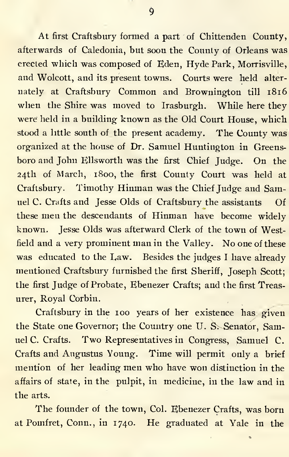At first Craftsbury formed a part of Chittenden County, afterwards of Caledonia, but soon the County of Orleans was erected which was composed of Eden, Hyde Park, Morrisville, and Wolcott, and its present towns. Courts were held alter nately at Craftsbury Common and Brownington till 1816 when the Shire was moved to Irasburgh. While here they were held in <sup>a</sup> building known asthe Old Court House, which stood a little south of the present academy. The County was organized at the house of Dr. Samuel Huntington in Greensboro and John Ellsworth was the first Chief Judge. On the 24th of March, 1800, the first County Court was held at Craftsbury. Timothy Hinman was the Chief Judge and Samuel C. Crafts and Jesse Olds of Craftsbury the assistants Of these men the descendants of Hinman have become widely known. Jesse Olds was afterward Clerk of the town of Westfield and <sup>a</sup> very prominent man in the Valley. No one of these was educated to the Law. Besides the judges <sup>I</sup> have already mentioned Craftsbury furnished the first Sheriff, Joseph Scott; the first Judge of Probate, Ebenezer Crafts; and the first Treasurer, Royal Corbin.

Craftsbury in the 100 years of her existence has given the State one Governor; the Country one U. S. Senator, Samuel C. Crafts. Two Representatives in Congress, Samuel C. Crafts and Augustus Young. Time will permit only a brief mention of her leading men who have won distinction in the affairs of state, in the pulpit, in medicine, in the law and in the arts.

The founder of the town, Col. Ebenezer Crafts, was born at Pomfret, Conn., in 1740. He graduated at Yale in the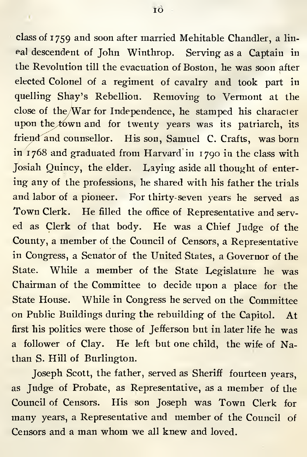class of 1759 and soon after married Mehitable Chandler, a lin eal descendent of John Winthrop. Serving as a Captain in the Revolution till the evacuation of Boston, he was soon after elected Colonel of a regiment of cavalry and took part in quelling Shay's Rebellion. Removing to Vermont at the close of the War for Independence, he stamped his cliaracler upon the town and for twenty years was its patriarch, its friend and counsellor. His son, Samuel C. Crafts, was born in 1768 and graduated from Harvard in 1790 in the class with Josiah Quincy, the elder. Laying aside all thought of entering any of the professions, he shared with his father the trials and labor of a pioneer. For thirty-seven years he served as Town Clerk. He filled the office of Representative and serv ed as Clerk of that body. He was <sup>a</sup> Chief Judge of the County, <sup>a</sup> member of the Council of Censors, <sup>a</sup> Representative in Congress, a Senator of the United States, a Governor of the State. While <sup>a</sup> member of the State Legislature he was Chairman of the Committee to decide upon a place for the State House. While in Congress he served on the Committee on Public Buildings during the rebuilding of the Capitol. At first his politics were those of Jefferson but in later life he was a follower of Clay. He left but one child, the wife of Nathan S. Hill of Burlington.

Joseph Scott, the father, served as Sheriff fourteen years, as Judge of Probate, as Representative, as a member of the Council of Censors. His son Joseph was Town Clerk for many years, a Representative and member of the Council of Censors and <sup>a</sup> man whom we all knew and loved.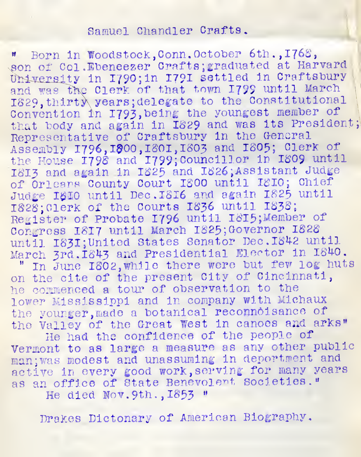#### Samuel Chandler Crafts.

" Born in Woodstock, Conn. October 6th., 1768,<br>son of Col.Ebeneezer Crafts; graduated at Harvard University in I790; in I79I settled in Craftsbury and was the Clerk of that town 1799 until March IS29,thirty\ years ;delegate to the Constitutional Convention in 1793, being the youngest member of that body and again in I829 and was its President Representative of Craftsbury in the General Assembly 1796,1300,1801,1803 and 1805; Clerk of<br>the House 1798 and 1799;Councillor in 1809 until 1813 and again in I825 and 1826 Assistant Judge of Orleans County Court <sup>I</sup>800 until 1810; Chief Judge 1810 until Dec. 1816 and again 1825 until 1828; Clerk of the Courts 1836 until 1838; Register of Probate 1796 until I8I5;Member of Congress 1817 until March 1825; Governor 1828 until 1831; United States Senator Dec. 1842 until March 3rd. 1843 and Presidential Elector in 1840.

" In June 1802, while there were but few log huts on the cite of the present City of Cincinnati, he commenced <sup>a</sup> tour of observation to the lower Mississippi and in company with Michaux the younger, made a botanical reconnoisance of the Valley of the Great West in canoes and arks"

He had the confidence of the people of Vermont to as large <sup>a</sup> measure as any other public man; was modest and unassuming in deportment and active in every good work, serving for many years as an office of State Benevolent societies." He died Nov. 9th. , 1853 "

Drakes Dictonary of American Biography.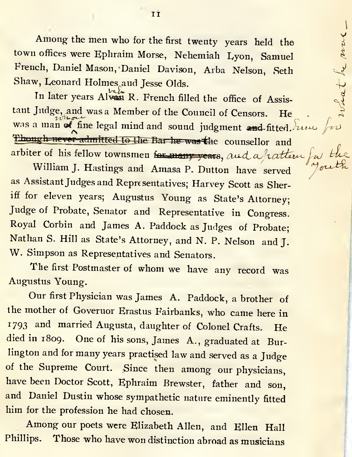Among the men who for the first twenty years held the town offices were Ephraim Morse, Nehemiah Eyon, Samuel French, Daniel Mason, Daniel Davison, Arba Nelson, Seth Shaw, Leonard Holmes<sub>.aud</sub> Jesse Olds.

In later years Alvest R. French filled the office of Assistant Judge, and was a Member of the Council of Censors. He was a man of fine legal mind and sound judgment and fitted. Luc for Though never admitted to the Bar he was the counsellor and arbiter of his fellow townsmen for many years, and a rattern

what he more

William J. Hastings and Amasa P. Dutton have served as Assistant Judges and Representatives; Harvey Scott as Sheriff for eleven years; Augustus Young as State's Attorney; Judge of Probate, Senator and Representative in Congress. Royal Corbin and James A. Paddock as Judges of Probate; Nathan S. Hill as State's Attorney, and N. P. Nelson and J. W. Simpson as Representatives and Senators.

The first Postmaster of whom we have any record was Augustus Young.

Our first Physician was James A. Paddock, <sup>a</sup> brother of the mother of Governor Erastus Fairbanks, who came here in <sup>1793</sup> and married Augusta, daughter of Colonel Crafts. He died in 1809. One of his sons, James A., graduated at Burlington and for many years practised law and served as <sup>a</sup> Judge of the Supreme Court. Since then among our physicians, have been Doctor Scott, Ephraim Brewster, father and son, and Daniel Dustin whose sympathetic nature eminently fitted him for the profession he had chosen.

Among our poets were Elizabeth Allen, and Ellen Hall Phillips. Those who have won distinction abroad as musicians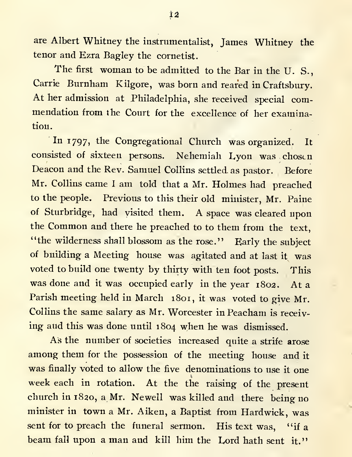are Albert Whitney the instrumentalist, James Whitney the tenor and Ezra Bagley the eornetist.

The first woman to be admitted to the Bar in the U.S., Carrie Burnham Kilgore, was born and reared in Craftsbury. At her admission at Philadelphia, she received special commendation from the Court for the excellence of her examination.

In 1797, the Congregational Church was organized. It consisted of sixteen persons. Nehemiah Lyon was chosen Deacon and the Rev. Samuel Collins settled as pastor. Before Mr. Collins came <sup>I</sup> am told that <sup>a</sup> Mr. Holmes had preached to the people. Previous to this their old minister, Mr. Paine of Sturbridge, had visited them. A space was cleared upon the Common and there he preached to to them from the text, "the wilderness shall blossom as the rose." Early the subject of building a Meeting house was agitated and at last it was voted to build one twenty by thirty with ten foot posts. This was done and it was occupied early in the year 1802. At <sup>a</sup> Parish meeting held in March 1801, it was voted to give Mr. Collins the same salary as Mr. Worcester in Peacham is receiv ing and this was done until 1804 when he was dismissed.

As the number of societies increased quite a strife arose among them for the possession of the meeting house and it was finally voted to allow the five denominations to use it one week each in rotation. At the the raising of the present church in 1820, a Mr. Newell was killed and there being no minister in town a Mr. Aiken, a Baptist from Hardwick, was sent for to preach the funeral sermon. His text was, "if a beam fall upon a man and kill him the Lord hath sent it."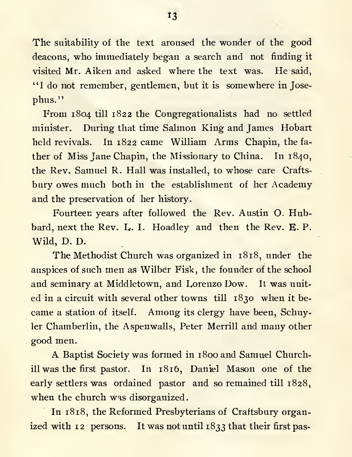The suitability of the text aroused the wonder of the good deacons, who immediately began <sup>a</sup> search and not finding it visited Mr. Aiken and asked where the text was. He said, "I do not remember, gentlemen, but it is somewhere in Jose phus."

From 1804 till 1822 the Congregationalists had no settled minister. During that time Salmon King and James Hobart held revivals. In 1822 came William Arms Chapin, the fa ther of Miss Jane Chapin, the Missionary to China. In 1840, the Rev. Samuel R. Hall was installed, to whose care Crafts bury owes much both in the establishment of her Academy and the preservation of her history.

Fourteen years after followed the Rev. Austin O. Hubbard, next the Rev. L. I. Hoadley and then the Rev. E. P. Wild, D. D.

The Methodist Church was organized in 1818, under the auspices of such men as Wilber Fisk, the founder of the school and seminary at Middletown, and Lorenzo Dow. Itwas unit ed in a circuit with several other towns till 1830 when it be came a station of itself. Among its clergy have been, Schuyler Chamberlin, the Aspenwalls, Peter Merrill and many other good men.

A Baptist Society was formed in 1800 and Samuel Churchill was the first pastor. In 1816, Daniel Mason one of the early settlers was ordained pastor and so remained till 1828, when the church was disorganized.

In 1818, the Reformed Presbyterians of Craftsbury organized with 12 persons. It was not until 1833 that their first pas-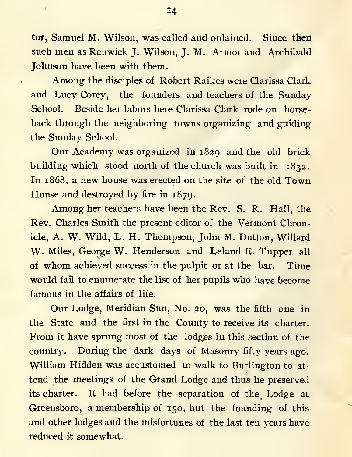tor, Samuel M. Wilson, was called and ordained. Since then such men as Renwick J. Wilson, J. M. Armor and Archibald Johnson have been with them.

Among the disciples of Robert Raikes were Clarissa Clark and Lucy Corey, the founders and teachers of the Sunday School. Beside her labors here Clarissa Clark rode on horse back through the neighboring towns organizing and guiding the Sunday School.

Our Academy was organized in 1829 and the old brick building which stood north of the church was built in 1832. In 1868, <sup>a</sup> new house was erected on the site of the old Town House and destroyed by fire in 1879.

Among her teachers have been the Rev. S. R. Hall, the Rev. Charles Smith the present editor of the Vermont Chronicle, A. W. Wild, L. H. Thompson, John M. Dutton, Willard W. Miles, George W. Henderson and Leland E. Tupper all of whom achieved success in the pulpit or at the bar. Time would fail to enumerate the list of her pupils who have become famous in the affairs of life.

Our Lodge, Meridian Sun, No. 20, was the fifth one in the State and the first in the County to receive its charter. From it have sprung most of the lodges in this section of the country. During the dark days of Masonry fifty years ago, William Hidden was accustomed to walk to Burlington to at tend the meetings of the Grand Lodge and thus he preserved its charter. It had before the separation of the Lodge at Greensboro, a membership of 150, but the founding of this and other lodges and the misfortunes of the last ten years have reduced it somewhat.